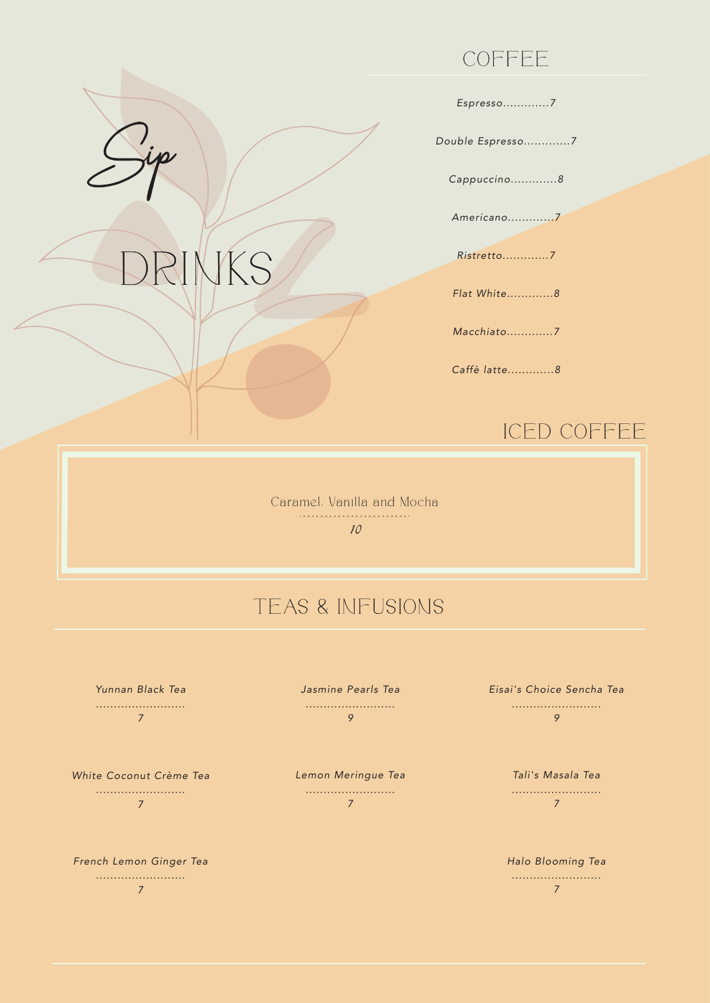## COFFEE

*Espresso.............7*

*Double Espresso.............7*

*Cappuccino.............8*

*Americano.............7*

*Ristretto.............7*

*Flat White.............8*

*Macchiato.............7*

*Caffè latte.............8*

## ICED COFFEE

Caramel. Vanilla and Mocha 10

## TEAS & INFUSIONS

*Yunnan Black Tea ......................... 7*

DRINKS

*White Coconut Crème Tea ......................... 7*

*French Lemon Ginger Tea ......................... 7*

*Jasmine Pearls Tea ......................... 9*

*Lemon Meringue Tea ......................... 7*

*Eisai's Choice Sencha Tea ......................... 9*

> *Tali's Masala Tea ......................... 7*

*Halo Blooming Tea ......................... 7*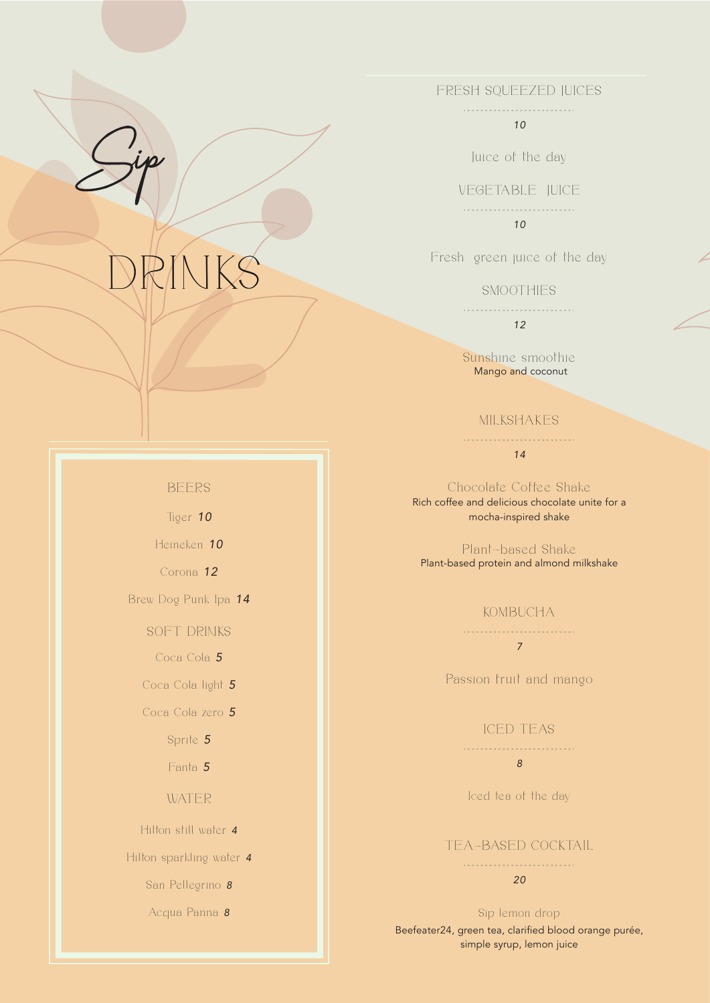# RINKS

#### FRESH SQUEEZED JUICES

.........................

*10*

Juice of the day

VEGETABLE JUICE

.........................

*10*

Fresh green juice of the day

#### **SMOOTHIES**

.........................

*12*

Sunshine smoothie Mango and coconut

#### MILKSHAKES

......................... *14*

Chocolate Coffee Shake Rich coffee and delicious chocolate unite for a mocha-inspired shake

Plant-based Shake Plant-based protein and almond milkshake

#### KOMBUCHA

......................... *7*

Passion fruit and mango

#### ICED TEAS

.........................

### *8*

Iced tea of the day

#### TEA-BASED COCKTAIL

#### ......................... *20*

Sip lemon drop Beefeater24, green tea, clarified blood orange purée, simple syrup, lemon juice

### BEERS

Tiger *10*

Heineken *10*

Corona *12*

Brew Dog Punk Ipa *14*

SOFT DRINKS

Coca Cola *5*

Coca Cola light *5*

Coca Cola zero *5*

Sprite *5*

Fanta *5*

#### WATER

Hilton still water *4*

Hilton sparkling water *4*

San Pellegrino *8*

Acqua Panna *8*